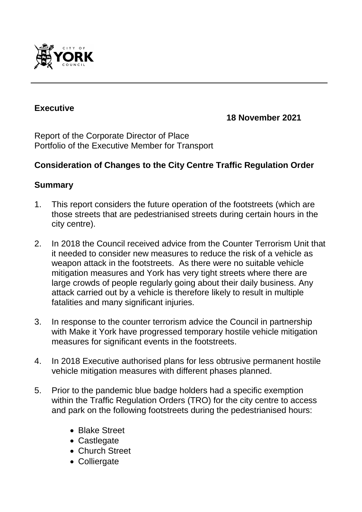

#### **Executive**

**18 November 2021**

Report of the Corporate Director of Place Portfolio of the Executive Member for Transport

#### **Consideration of Changes to the City Centre Traffic Regulation Order**

#### **Summary**

- 1. This report considers the future operation of the footstreets (which are those streets that are pedestrianised streets during certain hours in the city centre).
- 2. In 2018 the Council received advice from the Counter Terrorism Unit that it needed to consider new measures to reduce the risk of a vehicle as weapon attack in the footstreets. As there were no suitable vehicle mitigation measures and York has very tight streets where there are large crowds of people regularly going about their daily business. Any attack carried out by a vehicle is therefore likely to result in multiple fatalities and many significant injuries.
- 3. In response to the counter terrorism advice the Council in partnership with Make it York have progressed temporary hostile vehicle mitigation measures for significant events in the footstreets.
- 4. In 2018 Executive authorised plans for less obtrusive permanent hostile vehicle mitigation measures with different phases planned.
- 5. Prior to the pandemic blue badge holders had a specific exemption within the Traffic Regulation Orders (TRO) for the city centre to access and park on the following footstreets during the pedestrianised hours:
	- Blake Street
	- Castlegate
	- Church Street
	- Colliergate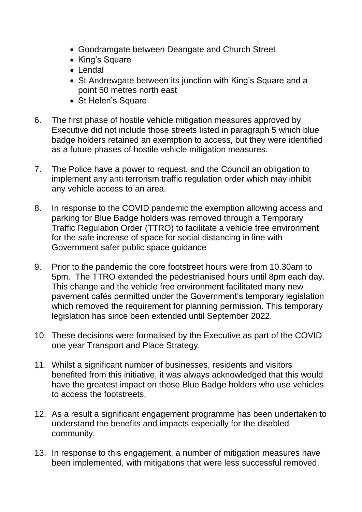- Goodramgate between Deangate and Church Street
- King's Square
- Lendal
- St Andrewgate between its junction with King's Square and a point 50 metres north east
- St Helen's Square
- 6. The first phase of hostile vehicle mitigation measures approved by Executive did not include those streets listed in paragraph 5 which blue badge holders retained an exemption to access, but they were identified as a future phases of hostile vehicle mitigation measures.
- 7. The Police have a power to request, and the Council an obligation to implement any anti terrorism traffic regulation order which may inhibit any vehicle access to an area.
- 8. In response to the COVID pandemic the exemption allowing access and parking for Blue Badge holders was removed through a Temporary Traffic Regulation Order (TTRO) to facilitate a vehicle free environment for the safe increase of space for social distancing in line with Government safer public space guidance
- 9. Prior to the pandemic the core footstreet hours were from 10.30am to 5pm. The TTRO extended the pedestrianised hours until 8pm each day. This change and the vehicle free environment facilitated many new pavement cafés permitted under the Government's temporary legislation which removed the requirement for planning permission. This temporary legislation has since been extended until September 2022.
- 10. These decisions were formalised by the Executive as part of the COVID one year Transport and Place Strategy.
- 11. Whilst a significant number of businesses, residents and visitors benefited from this initiative, it was always acknowledged that this would have the greatest impact on those Blue Badge holders who use vehicles to access the footstreets.
- 12. As a result a significant engagement programme has been undertaken to understand the benefits and impacts especially for the disabled community.
- 13. In response to this engagement, a number of mitigation measures have been implemented, with mitigations that were less successful removed.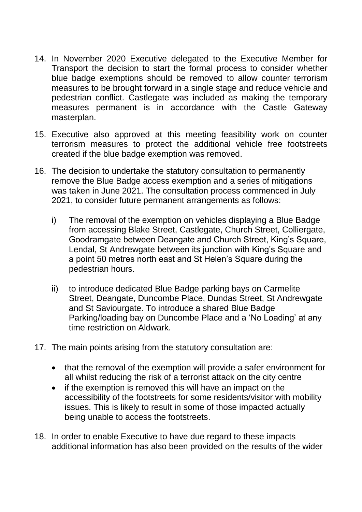- 14. In November 2020 Executive delegated to the Executive Member for Transport the decision to start the formal process to consider whether blue badge exemptions should be removed to allow counter terrorism measures to be brought forward in a single stage and reduce vehicle and pedestrian conflict. Castlegate was included as making the temporary measures permanent is in accordance with the Castle Gateway masterplan.
- 15. Executive also approved at this meeting feasibility work on counter terrorism measures to protect the additional vehicle free footstreets created if the blue badge exemption was removed.
- 16. The decision to undertake the statutory consultation to permanently remove the Blue Badge access exemption and a series of mitigations was taken in June 2021. The consultation process commenced in July 2021, to consider future permanent arrangements as follows:
	- i) The removal of the exemption on vehicles displaying a Blue Badge from accessing Blake Street, Castlegate, Church Street, Colliergate, Goodramgate between Deangate and Church Street, King's Square, Lendal, St Andrewgate between its junction with King's Square and a point 50 metres north east and St Helen's Square during the pedestrian hours.
	- ii) to introduce dedicated Blue Badge parking bays on Carmelite Street, Deangate, Duncombe Place, Dundas Street, St Andrewgate and St Saviourgate. To introduce a shared Blue Badge Parking/loading bay on Duncombe Place and a 'No Loading' at any time restriction on Aldwark.
- 17. The main points arising from the statutory consultation are:
	- that the removal of the exemption will provide a safer environment for all whilst reducing the risk of a terrorist attack on the city centre
	- if the exemption is removed this will have an impact on the accessibility of the footstreets for some residents/visitor with mobility issues. This is likely to result in some of those impacted actually being unable to access the footstreets.
- 18. In order to enable Executive to have due regard to these impacts additional information has also been provided on the results of the wider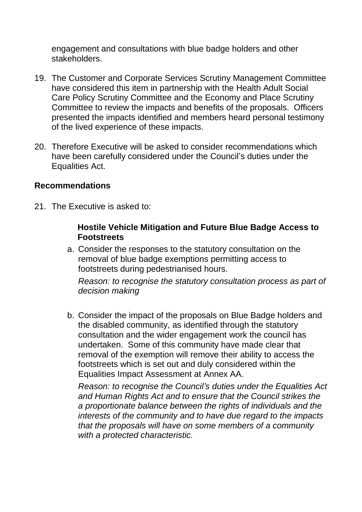engagement and consultations with blue badge holders and other stakeholders.

- 19. The Customer and Corporate Services Scrutiny Management Committee have considered this item in partnership with the Health Adult Social Care Policy Scrutiny Committee and the Economy and Place Scrutiny Committee to review the impacts and benefits of the proposals. Officers presented the impacts identified and members heard personal testimony of the lived experience of these impacts.
- 20. Therefore Executive will be asked to consider recommendations which have been carefully considered under the Council's duties under the Equalities Act.

#### **Recommendations**

21. The Executive is asked to:

#### **Hostile Vehicle Mitigation and Future Blue Badge Access to Footstreets**

a. Consider the responses to the statutory consultation on the removal of blue badge exemptions permitting access to footstreets during pedestrianised hours.

*Reason: to recognise the statutory consultation process as part of decision making*

b. Consider the impact of the proposals on Blue Badge holders and the disabled community, as identified through the statutory consultation and the wider engagement work the council has undertaken. Some of this community have made clear that removal of the exemption will remove their ability to access the footstreets which is set out and duly considered within the Equalities Impact Assessment at Annex AA.

*Reason: to recognise the Council's duties under the Equalities Act and Human Rights Act and to ensure that the Council strikes the a proportionate balance between the rights of individuals and the interests of the community and to have due regard to the impacts that the proposals will have on some members of a community with a protected characteristic.*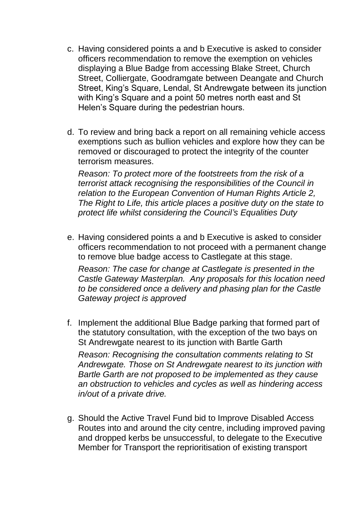- c. Having considered points a and b Executive is asked to consider officers recommendation to remove the exemption on vehicles displaying a Blue Badge from accessing Blake Street, Church Street, Colliergate, Goodramgate between Deangate and Church Street, King's Square, Lendal, St Andrewgate between its junction with King's Square and a point 50 metres north east and St Helen's Square during the pedestrian hours.
- d. To review and bring back a report on all remaining vehicle access exemptions such as bullion vehicles and explore how they can be removed or discouraged to protect the integrity of the counter terrorism measures.

*Reason: To protect more of the footstreets from the risk of a terrorist attack recognising the responsibilities of the Council in relation to the European Convention of Human Rights Article 2, The Right to Life, this article places a positive duty on the state to protect life whilst considering the Council's Equalities Duty*

- e. Having considered points a and b Executive is asked to consider officers recommendation to not proceed with a permanent change to remove blue badge access to Castlegate at this stage. *Reason: The case for change at Castlegate is presented in the Castle Gateway Masterplan. Any proposals for this location need to be considered once a delivery and phasing plan for the Castle Gateway project is approved*
- f. Implement the additional Blue Badge parking that formed part of the statutory consultation, with the exception of the two bays on St Andrewgate nearest to its junction with Bartle Garth *Reason: Recognising the consultation comments relating to St Andrewgate. Those on St Andrewgate nearest to its junction with Bartle Garth are not proposed to be implemented as they cause an obstruction to vehicles and cycles as well as hindering access in/out of a private drive.*
- g. Should the Active Travel Fund bid to Improve Disabled Access Routes into and around the city centre, including improved paving and dropped kerbs be unsuccessful, to delegate to the Executive Member for Transport the reprioritisation of existing transport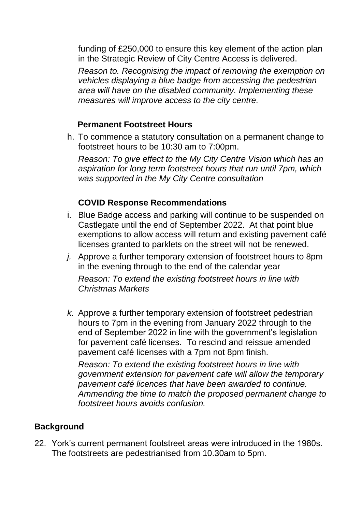funding of £250,000 to ensure this key element of the action plan in the Strategic Review of City Centre Access is delivered.

*Reason to. Recognising the impact of removing the exemption on vehicles displaying a blue badge from accessing the pedestrian area will have on the disabled community. Implementing these measures will improve access to the city centre.*

#### **Permanent Footstreet Hours**

h. To commence a statutory consultation on a permanent change to footstreet hours to be 10:30 am to 7:00pm.

*Reason: To give effect to the My City Centre Vision which has an aspiration for long term footstreet hours that run until 7pm, which was supported in the My City Centre consultation*

## **COVID Response Recommendations**

- i. Blue Badge access and parking will continue to be suspended on Castlegate until the end of September 2022. At that point blue exemptions to allow access will return and existing pavement café licenses granted to parklets on the street will not be renewed.
- *j.* Approve a further temporary extension of footstreet hours to 8pm in the evening through to the end of the calendar year

*Reason: To extend the existing footstreet hours in line with Christmas Markets*

*k.* Approve a further temporary extension of footstreet pedestrian hours to 7pm in the evening from January 2022 through to the end of September 2022 in line with the government's legislation for pavement café licenses. To rescind and reissue amended pavement café licenses with a 7pm not 8pm finish.

*Reason: To extend the existing footstreet hours in line with government extension for pavement cafe will allow the temporary pavement café licences that have been awarded to continue. Ammending the time to match the proposed permanent change to footstreet hours avoids confusion.*

# **Background**

22. York's current permanent footstreet areas were introduced in the 1980s. The footstreets are pedestrianised from 10.30am to 5pm.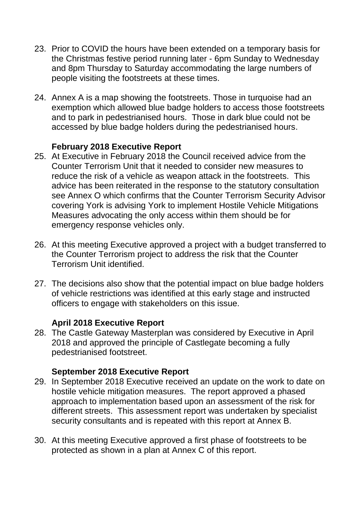- 23. Prior to COVID the hours have been extended on a temporary basis for the Christmas festive period running later - 6pm Sunday to Wednesday and 8pm Thursday to Saturday accommodating the large numbers of people visiting the footstreets at these times.
- 24. Annex A is a map showing the footstreets. Those in turquoise had an exemption which allowed blue badge holders to access those footstreets and to park in pedestrianised hours. Those in dark blue could not be accessed by blue badge holders during the pedestrianised hours.

## **February 2018 Executive Report**

- 25. At Executive in February 2018 the Council received advice from the Counter Terrorism Unit that it needed to consider new measures to reduce the risk of a vehicle as weapon attack in the footstreets. This advice has been reiterated in the response to the statutory consultation see Annex O which confirms that the Counter Terrorism Security Advisor covering York is advising York to implement Hostile Vehicle Mitigations Measures advocating the only access within them should be for emergency response vehicles only.
- 26. At this meeting Executive approved a project with a budget transferred to the Counter Terrorism project to address the risk that the Counter Terrorism Unit identified.
- 27. The decisions also show that the potential impact on blue badge holders of vehicle restrictions was identified at this early stage and instructed officers to engage with stakeholders on this issue.

#### **April 2018 Executive Report**

28. The Castle Gateway Masterplan was considered by Executive in April 2018 and approved the principle of Castlegate becoming a fully pedestrianised footstreet.

#### **September 2018 Executive Report**

- 29. In September 2018 Executive received an update on the work to date on hostile vehicle mitigation measures. The report approved a phased approach to implementation based upon an assessment of the risk for different streets. This assessment report was undertaken by specialist security consultants and is repeated with this report at Annex B.
- 30. At this meeting Executive approved a first phase of footstreets to be protected as shown in a plan at Annex C of this report.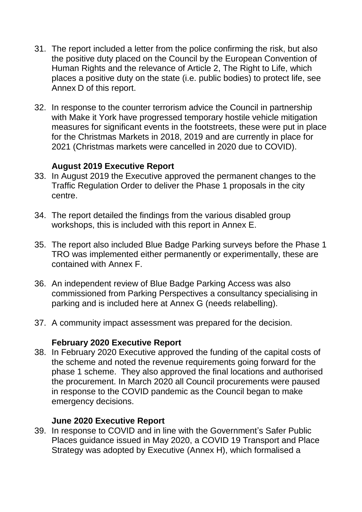- 31. The report included a letter from the police confirming the risk, but also the positive duty placed on the Council by the European Convention of Human Rights and the relevance of Article 2, The Right to Life, which places a positive duty on the state (i.e. public bodies) to protect life, see Annex D of this report.
- 32. In response to the counter terrorism advice the Council in partnership with Make it York have progressed temporary hostile vehicle mitigation measures for significant events in the footstreets, these were put in place for the Christmas Markets in 2018, 2019 and are currently in place for 2021 (Christmas markets were cancelled in 2020 due to COVID).

## **August 2019 Executive Report**

- 33. In August 2019 the Executive approved the permanent changes to the Traffic Regulation Order to deliver the Phase 1 proposals in the city centre.
- 34. The report detailed the findings from the various disabled group workshops, this is included with this report in Annex E.
- 35. The report also included Blue Badge Parking surveys before the Phase 1 TRO was implemented either permanently or experimentally, these are contained with Annex F.
- 36. An independent review of Blue Badge Parking Access was also commissioned from Parking Perspectives a consultancy specialising in parking and is included here at Annex G (needs relabelling).
- 37. A community impact assessment was prepared for the decision.

#### **February 2020 Executive Report**

38. In February 2020 Executive approved the funding of the capital costs of the scheme and noted the revenue requirements going forward for the phase 1 scheme. They also approved the final locations and authorised the procurement. In March 2020 all Council procurements were paused in response to the COVID pandemic as the Council began to make emergency decisions.

#### **June 2020 Executive Report**

39. In response to COVID and in line with the Government's Safer Public Places guidance issued in May 2020, a COVID 19 Transport and Place Strategy was adopted by Executive (Annex H), which formalised a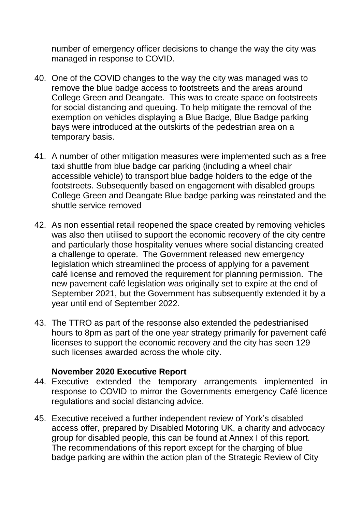number of emergency officer decisions to change the way the city was managed in response to COVID.

- 40. One of the COVID changes to the way the city was managed was to remove the blue badge access to footstreets and the areas around College Green and Deangate. This was to create space on footstreets for social distancing and queuing. To help mitigate the removal of the exemption on vehicles displaying a Blue Badge, Blue Badge parking bays were introduced at the outskirts of the pedestrian area on a temporary basis.
- 41. A number of other mitigation measures were implemented such as a free taxi shuttle from blue badge car parking (including a wheel chair accessible vehicle) to transport blue badge holders to the edge of the footstreets. Subsequently based on engagement with disabled groups College Green and Deangate Blue badge parking was reinstated and the shuttle service removed
- 42. As non essential retail reopened the space created by removing vehicles was also then utilised to support the economic recovery of the city centre and particularly those hospitality venues where social distancing created a challenge to operate. The Government released new emergency legislation which streamlined the process of applying for a pavement café license and removed the requirement for planning permission. The new pavement café legislation was originally set to expire at the end of September 2021, but the Government has subsequently extended it by a year until end of September 2022.
- 43. The TTRO as part of the response also extended the pedestrianised hours to 8pm as part of the one year strategy primarily for pavement café licenses to support the economic recovery and the city has seen 129 such licenses awarded across the whole city.

#### **November 2020 Executive Report**

- 44. Executive extended the temporary arrangements implemented in response to COVID to mirror the Governments emergency Café licence regulations and social distancing advice.
- 45. Executive received a further independent review of York's disabled access offer, prepared by Disabled Motoring UK, a charity and advocacy group for disabled people, this can be found at Annex I of this report. The recommendations of this report except for the charging of blue badge parking are within the action plan of the Strategic Review of City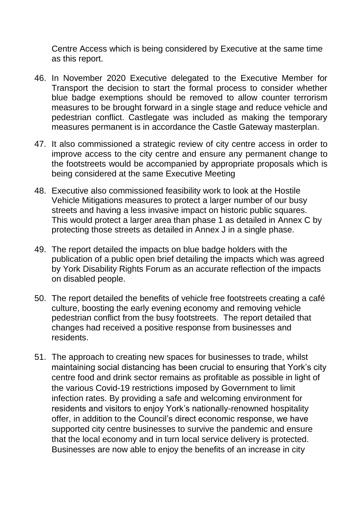Centre Access which is being considered by Executive at the same time as this report.

- 46. In November 2020 Executive delegated to the Executive Member for Transport the decision to start the formal process to consider whether blue badge exemptions should be removed to allow counter terrorism measures to be brought forward in a single stage and reduce vehicle and pedestrian conflict. Castlegate was included as making the temporary measures permanent is in accordance the Castle Gateway masterplan.
- 47. It also commissioned a strategic review of city centre access in order to improve access to the city centre and ensure any permanent change to the footstreets would be accompanied by appropriate proposals which is being considered at the same Executive Meeting
- 48. Executive also commissioned feasibility work to look at the Hostile Vehicle Mitigations measures to protect a larger number of our busy streets and having a less invasive impact on historic public squares. This would protect a larger area than phase 1 as detailed in Annex C by protecting those streets as detailed in Annex J in a single phase.
- 49. The report detailed the impacts on blue badge holders with the publication of a public open brief detailing the impacts which was agreed by York Disability Rights Forum as an accurate reflection of the impacts on disabled people.
- 50. The report detailed the benefits of vehicle free footstreets creating a café culture, boosting the early evening economy and removing vehicle pedestrian conflict from the busy footstreets. The report detailed that changes had received a positive response from businesses and residents.
- 51. The approach to creating new spaces for businesses to trade, whilst maintaining social distancing has been crucial to ensuring that York's city centre food and drink sector remains as profitable as possible in light of the various Covid-19 restrictions imposed by Government to limit infection rates. By providing a safe and welcoming environment for residents and visitors to enjoy York's nationally-renowned hospitality offer, in addition to the Council's direct economic response, we have supported city centre businesses to survive the pandemic and ensure that the local economy and in turn local service delivery is protected. Businesses are now able to enjoy the benefits of an increase in city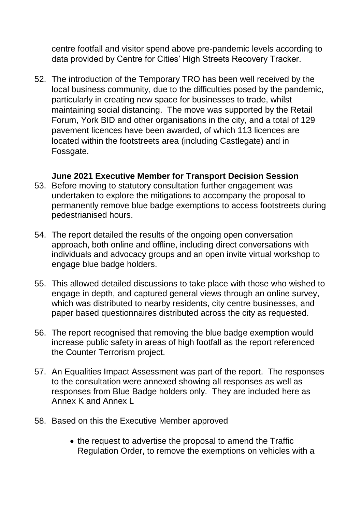centre footfall and visitor spend above pre-pandemic levels according to data provided by Centre for Cities' High Streets Recovery Tracker.

52. The introduction of the Temporary TRO has been well received by the local business community, due to the difficulties posed by the pandemic, particularly in creating new space for businesses to trade, whilst maintaining social distancing. The move was supported by the Retail Forum, York BID and other organisations in the city, and a total of 129 pavement licences have been awarded, of which 113 licences are located within the footstreets area (including Castlegate) and in Fossgate.

## **June 2021 Executive Member for Transport Decision Session**

- 53. Before moving to statutory consultation further engagement was undertaken to explore the mitigations to accompany the proposal to permanently remove blue badge exemptions to access footstreets during pedestrianised hours.
- 54. The report detailed the results of the ongoing open conversation approach, both online and offline, including direct conversations with individuals and advocacy groups and an open invite virtual workshop to engage blue badge holders.
- 55. This allowed detailed discussions to take place with those who wished to engage in depth, and captured general views through an online survey, which was distributed to nearby residents, city centre businesses, and paper based questionnaires distributed across the city as requested.
- 56. The report recognised that removing the blue badge exemption would increase public safety in areas of high footfall as the report referenced the Counter Terrorism project.
- 57. An Equalities Impact Assessment was part of the report. The responses to the consultation were annexed showing all responses as well as responses from Blue Badge holders only. They are included here as Annex K and Annex L
- 58. Based on this the Executive Member approved
	- the request to advertise the proposal to amend the Traffic Regulation Order, to remove the exemptions on vehicles with a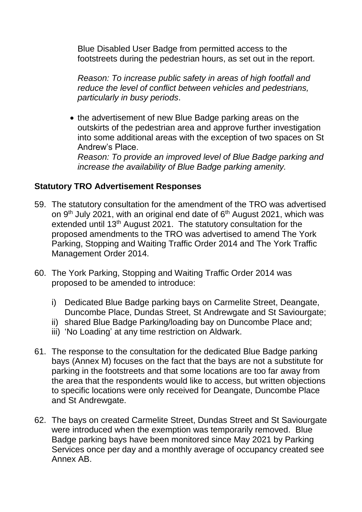Blue Disabled User Badge from permitted access to the footstreets during the pedestrian hours, as set out in the report.

*Reason: To increase public safety in areas of high footfall and reduce the level of conflict between vehicles and pedestrians, particularly in busy periods*.

• the advertisement of new Blue Badge parking areas on the outskirts of the pedestrian area and approve further investigation into some additional areas with the exception of two spaces on St Andrew's Place.

*Reason: To provide an improved level of Blue Badge parking and increase the availability of Blue Badge parking amenity.*

## **Statutory TRO Advertisement Responses**

- 59. The statutory consultation for the amendment of the TRO was advertised on 9<sup>th</sup> July 2021, with an original end date of 6<sup>th</sup> August 2021, which was extended until 13<sup>th</sup> August 2021. The statutory consultation for the proposed amendments to the TRO was advertised to amend The York Parking, Stopping and Waiting Traffic Order 2014 and The York Traffic Management Order 2014.
- 60. The York Parking, Stopping and Waiting Traffic Order 2014 was proposed to be amended to introduce:
	- i) Dedicated Blue Badge parking bays on Carmelite Street, Deangate, Duncombe Place, Dundas Street, St Andrewgate and St Saviourgate;
	- ii) shared Blue Badge Parking/loading bay on Duncombe Place and;
	- iii) 'No Loading' at any time restriction on Aldwark.
- 61. The response to the consultation for the dedicated Blue Badge parking bays (Annex M) focuses on the fact that the bays are not a substitute for parking in the footstreets and that some locations are too far away from the area that the respondents would like to access, but written objections to specific locations were only received for Deangate, Duncombe Place and St Andrewgate.
- 62. The bays on created Carmelite Street, Dundas Street and St Saviourgate were introduced when the exemption was temporarily removed. Blue Badge parking bays have been monitored since May 2021 by Parking Services once per day and a monthly average of occupancy created see Annex AB.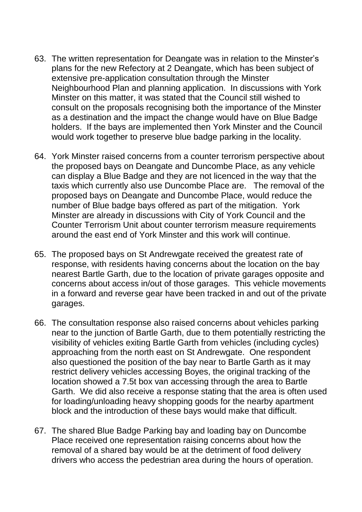- 63. The written representation for Deangate was in relation to the Minster's plans for the new Refectory at 2 Deangate, which has been subject of extensive pre-application consultation through the Minster Neighbourhood Plan and planning application. In discussions with York Minster on this matter, it was stated that the Council still wished to consult on the proposals recognising both the importance of the Minster as a destination and the impact the change would have on Blue Badge holders. If the bays are implemented then York Minster and the Council would work together to preserve blue badge parking in the locality.
- 64. York Minster raised concerns from a counter terrorism perspective about the proposed bays on Deangate and Duncombe Place, as any vehicle can display a Blue Badge and they are not licenced in the way that the taxis which currently also use Duncombe Place are. The removal of the proposed bays on Deangate and Duncombe Place, would reduce the number of Blue badge bays offered as part of the mitigation. York Minster are already in discussions with City of York Council and the Counter Terrorism Unit about counter terrorism measure requirements around the east end of York Minster and this work will continue.
- 65. The proposed bays on St Andrewgate received the greatest rate of response, with residents having concerns about the location on the bay nearest Bartle Garth, due to the location of private garages opposite and concerns about access in/out of those garages. This vehicle movements in a forward and reverse gear have been tracked in and out of the private garages.
- 66. The consultation response also raised concerns about vehicles parking near to the junction of Bartle Garth, due to them potentially restricting the visibility of vehicles exiting Bartle Garth from vehicles (including cycles) approaching from the north east on St Andrewgate. One respondent also questioned the position of the bay near to Bartle Garth as it may restrict delivery vehicles accessing Boyes, the original tracking of the location showed a 7.5t box van accessing through the area to Bartle Garth. We did also receive a response stating that the area is often used for loading/unloading heavy shopping goods for the nearby apartment block and the introduction of these bays would make that difficult.
- 67. The shared Blue Badge Parking bay and loading bay on Duncombe Place received one representation raising concerns about how the removal of a shared bay would be at the detriment of food delivery drivers who access the pedestrian area during the hours of operation.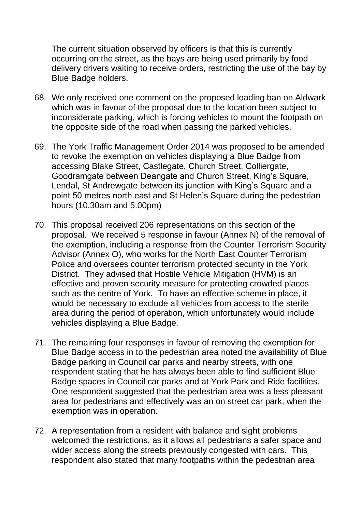The current situation observed by officers is that this is currently occurring on the street, as the bays are being used primarily by food delivery drivers waiting to receive orders, restricting the use of the bay by Blue Badge holders.

- 68. We only received one comment on the proposed loading ban on Aldwark which was in favour of the proposal due to the location been subject to inconsiderate parking, which is forcing vehicles to mount the footpath on the opposite side of the road when passing the parked vehicles.
- 69. The York Traffic Management Order 2014 was proposed to be amended to revoke the exemption on vehicles displaying a Blue Badge from accessing Blake Street, Castlegate, Church Street, Colliergate, Goodramgate between Deangate and Church Street, King's Square, Lendal, St Andrewgate between its junction with King's Square and a point 50 metres north east and St Helen's Square during the pedestrian hours (10.30am and 5.00pm)
- 70. This proposal received 206 representations on this section of the proposal. We received 5 response in favour (Annex N) of the removal of the exemption, including a response from the Counter Terrorism Security Advisor (Annex O), who works for the North East Counter Terrorism Police and oversees counter terrorism protected security in the York District. They advised that Hostile Vehicle Mitigation (HVM) is an effective and proven security measure for protecting crowded places such as the centre of York. To have an effective scheme in place, it would be necessary to exclude all vehicles from access to the sterile area during the period of operation, which unfortunately would include vehicles displaying a Blue Badge.
- 71. The remaining four responses in favour of removing the exemption for Blue Badge access in to the pedestrian area noted the availability of Blue Badge parking in Council car parks and nearby streets, with one respondent stating that he has always been able to find sufficient Blue Badge spaces in Council car parks and at York Park and Ride facilities. One respondent suggested that the pedestrian area was a less pleasant area for pedestrians and effectively was an on street car park, when the exemption was in operation.
- 72. A representation from a resident with balance and sight problems welcomed the restrictions, as it allows all pedestrians a safer space and wider access along the streets previously congested with cars. This respondent also stated that many footpaths within the pedestrian area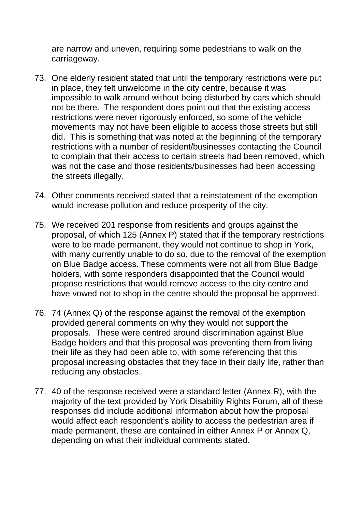are narrow and uneven, requiring some pedestrians to walk on the carriageway.

- 73. One elderly resident stated that until the temporary restrictions were put in place, they felt unwelcome in the city centre, because it was impossible to walk around without being disturbed by cars which should not be there. The respondent does point out that the existing access restrictions were never rigorously enforced, so some of the vehicle movements may not have been eligible to access those streets but still did. This is something that was noted at the beginning of the temporary restrictions with a number of resident/businesses contacting the Council to complain that their access to certain streets had been removed, which was not the case and those residents/businesses had been accessing the streets illegally.
- 74. Other comments received stated that a reinstatement of the exemption would increase pollution and reduce prosperity of the city.
- 75. We received 201 response from residents and groups against the proposal, of which 125 (Annex P) stated that if the temporary restrictions were to be made permanent, they would not continue to shop in York, with many currently unable to do so, due to the removal of the exemption on Blue Badge access. These comments were not all from Blue Badge holders, with some responders disappointed that the Council would propose restrictions that would remove access to the city centre and have vowed not to shop in the centre should the proposal be approved.
- 76. 74 (Annex Q) of the response against the removal of the exemption provided general comments on why they would not support the proposals. These were centred around discrimination against Blue Badge holders and that this proposal was preventing them from living their life as they had been able to, with some referencing that this proposal increasing obstacles that they face in their daily life, rather than reducing any obstacles.
- 77. 40 of the response received were a standard letter (Annex R), with the majority of the text provided by York Disability Rights Forum, all of these responses did include additional information about how the proposal would affect each respondent's ability to access the pedestrian area if made permanent, these are contained in either Annex P or Annex Q, depending on what their individual comments stated.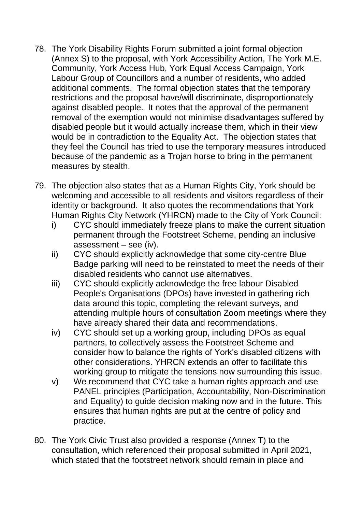- 78. The York Disability Rights Forum submitted a joint formal objection (Annex S) to the proposal, with York Accessibility Action, The York M.E. Community, York Access Hub, York Equal Access Campaign, York Labour Group of Councillors and a number of residents, who added additional comments. The formal objection states that the temporary restrictions and the proposal have/will discriminate, disproportionately against disabled people. It notes that the approval of the permanent removal of the exemption would not minimise disadvantages suffered by disabled people but it would actually increase them, which in their view would be in contradiction to the Equality Act. The objection states that they feel the Council has tried to use the temporary measures introduced because of the pandemic as a Trojan horse to bring in the permanent measures by stealth.
- 79. The objection also states that as a Human Rights City, York should be welcoming and accessible to all residents and visitors regardless of their identity or background. It also quotes the recommendations that York Human Rights City Network (YHRCN) made to the City of York Council:
	- i) CYC should immediately freeze plans to make the current situation permanent through the Footstreet Scheme, pending an inclusive assessment – see (iv).
	- ii) CYC should explicitly acknowledge that some city-centre Blue Badge parking will need to be reinstated to meet the needs of their disabled residents who cannot use alternatives.
	- iii) CYC should explicitly acknowledge the free labour Disabled People's Organisations (DPOs) have invested in gathering rich data around this topic, completing the relevant surveys, and attending multiple hours of consultation Zoom meetings where they have already shared their data and recommendations.
	- iv) CYC should set up a working group, including DPOs as equal partners, to collectively assess the Footstreet Scheme and consider how to balance the rights of York's disabled citizens with other considerations. YHRCN extends an offer to facilitate this working group to mitigate the tensions now surrounding this issue.
	- v) We recommend that CYC take a human rights approach and use PANEL principles (Participation, Accountability, Non-Discrimination and Equality) to guide decision making now and in the future. This ensures that human rights are put at the centre of policy and practice.
- 80. The York Civic Trust also provided a response (Annex T) to the consultation, which referenced their proposal submitted in April 2021, which stated that the footstreet network should remain in place and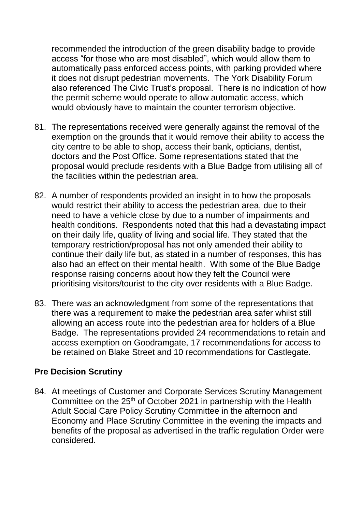recommended the introduction of the green disability badge to provide access "for those who are most disabled", which would allow them to automatically pass enforced access points, with parking provided where it does not disrupt pedestrian movements. The York Disability Forum also referenced The Civic Trust's proposal. There is no indication of how the permit scheme would operate to allow automatic access, which would obviously have to maintain the counter terrorism objective.

- 81. The representations received were generally against the removal of the exemption on the grounds that it would remove their ability to access the city centre to be able to shop, access their bank, opticians, dentist, doctors and the Post Office. Some representations stated that the proposal would preclude residents with a Blue Badge from utilising all of the facilities within the pedestrian area.
- 82. A number of respondents provided an insight in to how the proposals would restrict their ability to access the pedestrian area, due to their need to have a vehicle close by due to a number of impairments and health conditions. Respondents noted that this had a devastating impact on their daily life, quality of living and social life. They stated that the temporary restriction/proposal has not only amended their ability to continue their daily life but, as stated in a number of responses, this has also had an effect on their mental health. With some of the Blue Badge response raising concerns about how they felt the Council were prioritising visitors/tourist to the city over residents with a Blue Badge.
- 83. There was an acknowledgment from some of the representations that there was a requirement to make the pedestrian area safer whilst still allowing an access route into the pedestrian area for holders of a Blue Badge. The representations provided 24 recommendations to retain and access exemption on Goodramgate, 17 recommendations for access to be retained on Blake Street and 10 recommendations for Castlegate.

#### **Pre Decision Scrutiny**

84. At meetings of Customer and Corporate Services Scrutiny Management Committee on the 25<sup>th</sup> of October 2021 in partnership with the Health Adult Social Care Policy Scrutiny Committee in the afternoon and Economy and Place Scrutiny Committee in the evening the impacts and benefits of the proposal as advertised in the traffic regulation Order were considered.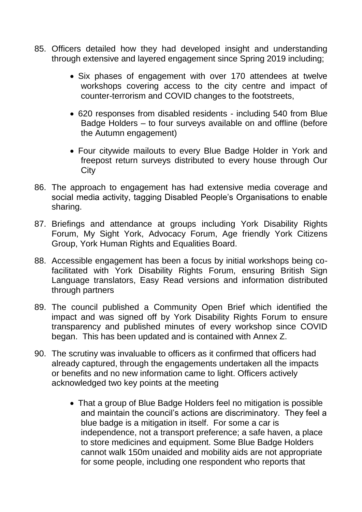- 85. Officers detailed how they had developed insight and understanding through extensive and layered engagement since Spring 2019 including;
	- Six phases of engagement with over 170 attendees at twelve workshops covering access to the city centre and impact of counter-terrorism and COVID changes to the footstreets,
	- 620 responses from disabled residents including 540 from Blue Badge Holders – to four surveys available on and offline (before the Autumn engagement)
	- Four citywide mailouts to every Blue Badge Holder in York and freepost return surveys distributed to every house through Our **City**
- 86. The approach to engagement has had extensive media coverage and social media activity, tagging Disabled People's Organisations to enable sharing.
- 87. Briefings and attendance at groups including York Disability Rights Forum, My Sight York, Advocacy Forum, Age friendly York Citizens Group, York Human Rights and Equalities Board.
- 88. Accessible engagement has been a focus by initial workshops being cofacilitated with York Disability Rights Forum, ensuring British Sign Language translators, Easy Read versions and information distributed through partners
- 89. The council published a Community Open Brief which identified the impact and was signed off by York Disability Rights Forum to ensure transparency and published minutes of every workshop since COVID began. This has been updated and is contained with Annex Z.
- 90. The scrutiny was invaluable to officers as it confirmed that officers had already captured, through the engagements undertaken all the impacts or benefits and no new information came to light. Officers actively acknowledged two key points at the meeting
	- That a group of Blue Badge Holders feel no mitigation is possible and maintain the council's actions are discriminatory. They feel a blue badge is a mitigation in itself. For some a car is independence, not a transport preference; a safe haven, a place to store medicines and equipment. Some Blue Badge Holders cannot walk 150m unaided and mobility aids are not appropriate for some people, including one respondent who reports that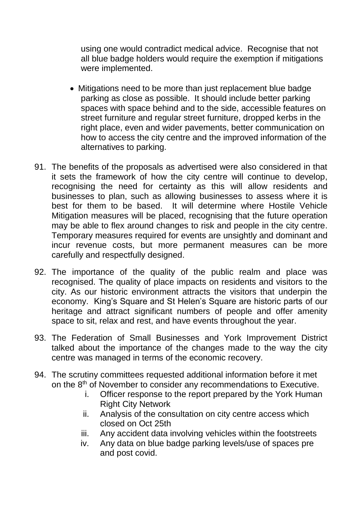using one would contradict medical advice. Recognise that not all blue badge holders would require the exemption if mitigations were implemented.

- Mitigations need to be more than just replacement blue badge parking as close as possible. It should include better parking spaces with space behind and to the side, accessible features on street furniture and regular street furniture, dropped kerbs in the right place, even and wider pavements, better communication on how to access the city centre and the improved information of the alternatives to parking.
- 91. The benefits of the proposals as advertised were also considered in that it sets the framework of how the city centre will continue to develop, recognising the need for certainty as this will allow residents and businesses to plan, such as allowing businesses to assess where it is best for them to be based. It will determine where Hostile Vehicle Mitigation measures will be placed, recognising that the future operation may be able to flex around changes to risk and people in the city centre. Temporary measures required for events are unsightly and dominant and incur revenue costs, but more permanent measures can be more carefully and respectfully designed.
- 92. The importance of the quality of the public realm and place was recognised. The quality of place impacts on residents and visitors to the city. As our historic environment attracts the visitors that underpin the economy. King's Square and St Helen's Square are historic parts of our heritage and attract significant numbers of people and offer amenity space to sit, relax and rest, and have events throughout the year.
- 93. The Federation of Small Businesses and York Improvement District talked about the importance of the changes made to the way the city centre was managed in terms of the economic recovery.
- 94. The scrutiny committees requested additional information before it met on the 8<sup>th</sup> of November to consider any recommendations to Executive.
	- i. Officer response to the report prepared by the York Human Right City Network
	- ii. Analysis of the consultation on city centre access which closed on Oct 25th
	- iii. Any accident data involving vehicles within the footstreets
	- iv. Any data on blue badge parking levels/use of spaces pre and post covid.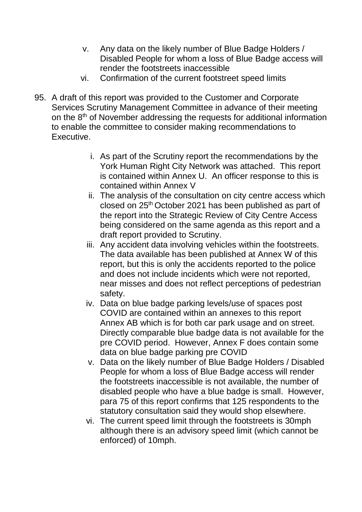- v. Any data on the likely number of Blue Badge Holders / Disabled People for whom a loss of Blue Badge access will render the footstreets inaccessible
- vi. Confirmation of the current footstreet speed limits
- 95. A draft of this report was provided to the Customer and Corporate Services Scrutiny Management Committee in advance of their meeting on the 8<sup>th</sup> of November addressing the requests for additional information to enable the committee to consider making recommendations to Executive.
	- i. As part of the Scrutiny report the recommendations by the York Human Right City Network was attached. This report is contained within Annex U. An officer response to this is contained within Annex V
	- ii. The analysis of the consultation on city centre access which closed on 25th October 2021 has been published as part of the report into the Strategic Review of City Centre Access being considered on the same agenda as this report and a draft report provided to Scrutiny.
	- iii. Any accident data involving vehicles within the footstreets. The data available has been published at Annex W of this report, but this is only the accidents reported to the police and does not include incidents which were not reported, near misses and does not reflect perceptions of pedestrian safety.
	- iv. Data on blue badge parking levels/use of spaces post COVID are contained within an annexes to this report Annex AB which is for both car park usage and on street. Directly comparable blue badge data is not available for the pre COVID period. However, Annex F does contain some data on blue badge parking pre COVID
	- v. Data on the likely number of Blue Badge Holders / Disabled People for whom a loss of Blue Badge access will render the footstreets inaccessible is not available, the number of disabled people who have a blue badge is small. However, para 75 of this report confirms that 125 respondents to the statutory consultation said they would shop elsewhere.
	- vi. The current speed limit through the footstreets is 30mph although there is an advisory speed limit (which cannot be enforced) of 10mph.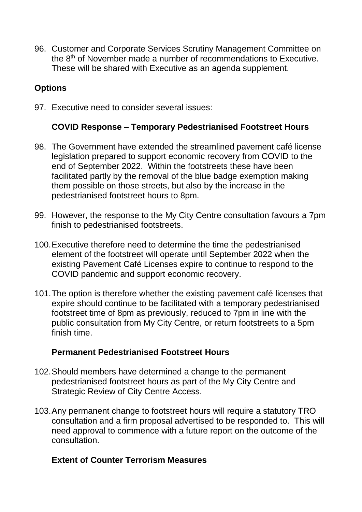96. Customer and Corporate Services Scrutiny Management Committee on the 8th of November made a number of recommendations to Executive. These will be shared with Executive as an agenda supplement.

# **Options**

97. Executive need to consider several issues:

#### **COVID Response – Temporary Pedestrianised Footstreet Hours**

- 98. The Government have extended the streamlined pavement café license legislation prepared to support economic recovery from COVID to the end of September 2022. Within the footstreets these have been facilitated partly by the removal of the blue badge exemption making them possible on those streets, but also by the increase in the pedestrianised footstreet hours to 8pm.
- 99. However, the response to the My City Centre consultation favours a 7pm finish to pedestrianised footstreets.
- 100.Executive therefore need to determine the time the pedestrianised element of the footstreet will operate until September 2022 when the existing Pavement Café Licenses expire to continue to respond to the COVID pandemic and support economic recovery.
- 101.The option is therefore whether the existing pavement café licenses that expire should continue to be facilitated with a temporary pedestrianised footstreet time of 8pm as previously, reduced to 7pm in line with the public consultation from My City Centre, or return footstreets to a 5pm finish time.

#### **Permanent Pedestrianised Footstreet Hours**

- 102.Should members have determined a change to the permanent pedestrianised footstreet hours as part of the My City Centre and Strategic Review of City Centre Access.
- 103.Any permanent change to footstreet hours will require a statutory TRO consultation and a firm proposal advertised to be responded to. This will need approval to commence with a future report on the outcome of the consultation.

#### **Extent of Counter Terrorism Measures**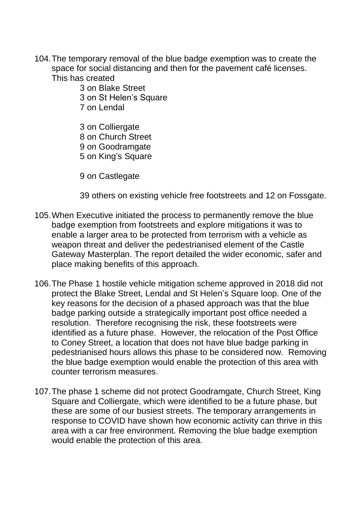- 104.The temporary removal of the blue badge exemption was to create the space for social distancing and then for the pavement café licenses. This has created
	- 3 on Blake Street
	- 3 on St Helen's Square
	- 7 on Lendal
	- 3 on Colliergate 8 on Church Street 9 on Goodramgate 5 on King's Square
	- 9 on Castlegate

39 others on existing vehicle free footstreets and 12 on Fossgate.

- 105.When Executive initiated the process to permanently remove the blue badge exemption from footstreets and explore mitigations it was to enable a larger area to be protected from terrorism with a vehicle as weapon threat and deliver the pedestrianised element of the Castle Gateway Masterplan. The report detailed the wider economic, safer and place making benefits of this approach.
- 106.The Phase 1 hostile vehicle mitigation scheme approved in 2018 did not protect the Blake Street, Lendal and St Helen's Square loop. One of the key reasons for the decision of a phased approach was that the blue badge parking outside a strategically important post office needed a resolution. Therefore recognising the risk, these footstreets were identified as a future phase. However, the relocation of the Post Office to Coney Street, a location that does not have blue badge parking in pedestrianised hours allows this phase to be considered now. Removing the blue badge exemption would enable the protection of this area with counter terrorism measures.
- 107.The phase 1 scheme did not protect Goodramgate, Church Street, King Square and Colliergate, which were identified to be a future phase, but these are some of our busiest streets. The temporary arrangements in response to COVID have shown how economic activity can thrive in this area with a car free environment. Removing the blue badge exemption would enable the protection of this area.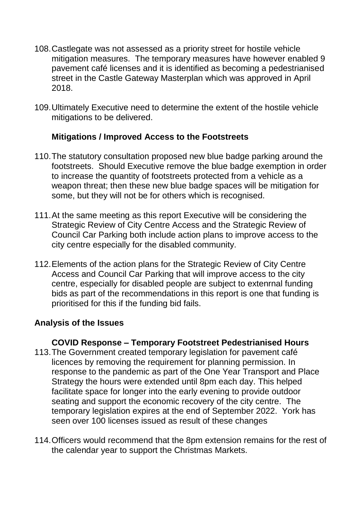- 108.Castlegate was not assessed as a priority street for hostile vehicle mitigation measures. The temporary measures have however enabled 9 pavement café licenses and it is identified as becoming a pedestrianised street in the Castle Gateway Masterplan which was approved in April 2018.
- 109.Ultimately Executive need to determine the extent of the hostile vehicle mitigations to be delivered.

## **Mitigations / Improved Access to the Footstreets**

- 110.The statutory consultation proposed new blue badge parking around the footstreets. Should Executive remove the blue badge exemption in order to increase the quantity of footstreets protected from a vehicle as a weapon threat; then these new blue badge spaces will be mitigation for some, but they will not be for others which is recognised.
- 111.At the same meeting as this report Executive will be considering the Strategic Review of City Centre Access and the Strategic Review of Council Car Parking both include action plans to improve access to the city centre especially for the disabled community.
- 112.Elements of the action plans for the Strategic Review of City Centre Access and Council Car Parking that will improve access to the city centre, especially for disabled people are subject to extenrnal funding bids as part of the recommendations in this report is one that funding is prioritised for this if the funding bid fails.

# **Analysis of the Issues**

#### **COVID Response – Temporary Footstreet Pedestrianised Hours**

- 113.The Government created temporary legislation for pavement café licences by removing the requirement for planning permission. In response to the pandemic as part of the One Year Transport and Place Strategy the hours were extended until 8pm each day. This helped facilitate space for longer into the early evening to provide outdoor seating and support the economic recovery of the city centre. The temporary legislation expires at the end of September 2022. York has seen over 100 licenses issued as result of these changes
- 114.Officers would recommend that the 8pm extension remains for the rest of the calendar year to support the Christmas Markets.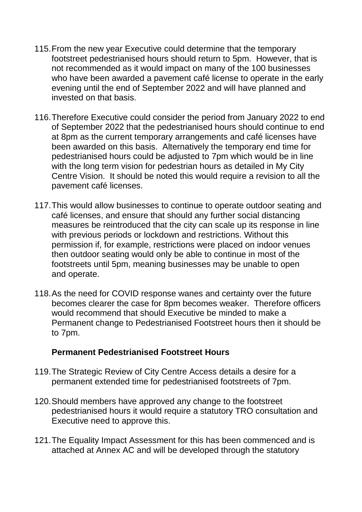- 115.From the new year Executive could determine that the temporary footstreet pedestrianised hours should return to 5pm. However, that is not recommended as it would impact on many of the 100 businesses who have been awarded a pavement café license to operate in the early evening until the end of September 2022 and will have planned and invested on that basis.
- 116.Therefore Executive could consider the period from January 2022 to end of September 2022 that the pedestrianised hours should continue to end at 8pm as the current temporary arrangements and café licenses have been awarded on this basis. Alternatively the temporary end time for pedestrianised hours could be adjusted to 7pm which would be in line with the long term vision for pedestrian hours as detailed in My City Centre Vision. It should be noted this would require a revision to all the pavement café licenses.
- 117.This would allow businesses to continue to operate outdoor seating and café licenses, and ensure that should any further social distancing measures be reintroduced that the city can scale up its response in line with previous periods or lockdown and restrictions. Without this permission if, for example, restrictions were placed on indoor venues then outdoor seating would only be able to continue in most of the footstreets until 5pm, meaning businesses may be unable to open and operate.
- 118.As the need for COVID response wanes and certainty over the future becomes clearer the case for 8pm becomes weaker. Therefore officers would recommend that should Executive be minded to make a Permanent change to Pedestrianised Footstreet hours then it should be to 7pm.

#### **Permanent Pedestrianised Footstreet Hours**

- 119.The Strategic Review of City Centre Access details a desire for a permanent extended time for pedestrianised footstreets of 7pm.
- 120.Should members have approved any change to the footstreet pedestrianised hours it would require a statutory TRO consultation and Executive need to approve this.
- 121.The Equality Impact Assessment for this has been commenced and is attached at Annex AC and will be developed through the statutory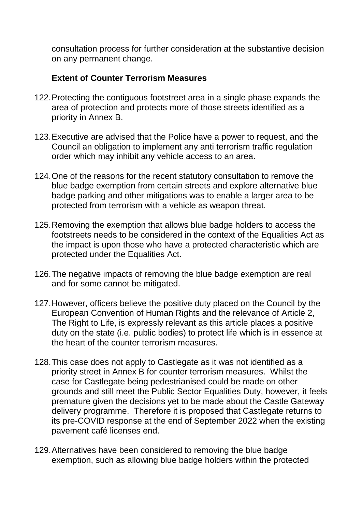consultation process for further consideration at the substantive decision on any permanent change.

## **Extent of Counter Terrorism Measures**

- 122.Protecting the contiguous footstreet area in a single phase expands the area of protection and protects more of those streets identified as a priority in Annex B.
- 123.Executive are advised that the Police have a power to request, and the Council an obligation to implement any anti terrorism traffic regulation order which may inhibit any vehicle access to an area.
- 124.One of the reasons for the recent statutory consultation to remove the blue badge exemption from certain streets and explore alternative blue badge parking and other mitigations was to enable a larger area to be protected from terrorism with a vehicle as weapon threat.
- 125.Removing the exemption that allows blue badge holders to access the footstreets needs to be considered in the context of the Equalities Act as the impact is upon those who have a protected characteristic which are protected under the Equalities Act.
- 126.The negative impacts of removing the blue badge exemption are real and for some cannot be mitigated.
- 127.However, officers believe the positive duty placed on the Council by the European Convention of Human Rights and the relevance of Article 2, The Right to Life, is expressly relevant as this article places a positive duty on the state (i.e. public bodies) to protect life which is in essence at the heart of the counter terrorism measures.
- 128.This case does not apply to Castlegate as it was not identified as a priority street in Annex B for counter terrorism measures. Whilst the case for Castlegate being pedestrianised could be made on other grounds and still meet the Public Sector Equalities Duty, however, it feels premature given the decisions yet to be made about the Castle Gateway delivery programme. Therefore it is proposed that Castlegate returns to its pre-COVID response at the end of September 2022 when the existing pavement café licenses end.
- 129.Alternatives have been considered to removing the blue badge exemption, such as allowing blue badge holders within the protected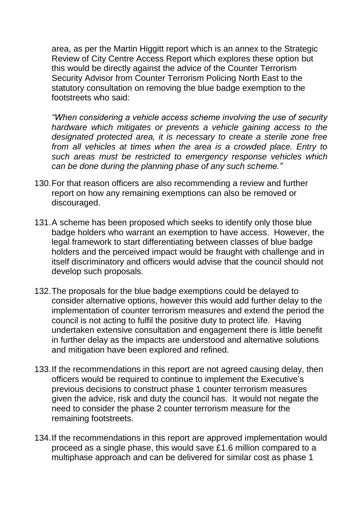area, as per the Martin Higgitt report which is an annex to the Strategic Review of City Centre Access Report which explores these option but this would be directly against the advice of the Counter Terrorism Security Advisor from Counter Terrorism Policing North East to the statutory consultation on removing the blue badge exemption to the footstreets who said:

*"When considering a vehicle access scheme involving the use of security hardware which mitigates or prevents a vehicle gaining access to the designated protected area, it is necessary to create a sterile zone free from all vehicles at times when the area is a crowded place. Entry to such areas must be restricted to emergency response vehicles which can be done during the planning phase of any such scheme."*

- 130.For that reason officers are also recommending a review and further report on how any remaining exemptions can also be removed or discouraged.
- 131.A scheme has been proposed which seeks to identify only those blue badge holders who warrant an exemption to have access. However, the legal framework to start differentiating between classes of blue badge holders and the perceived impact would be fraught with challenge and in itself discriminatory and officers would advise that the council should not develop such proposals.
- 132.The proposals for the blue badge exemptions could be delayed to consider alternative options, however this would add further delay to the implementation of counter terrorism measures and extend the period the council is not acting to fulfil the positive duty to protect life. Having undertaken extensive consultation and engagement there is little benefit in further delay as the impacts are understood and alternative solutions and mitigation have been explored and refined.
- 133.If the recommendations in this report are not agreed causing delay, then officers would be required to continue to implement the Executive's previous decisions to construct phase 1 counter terrorism measures given the advice, risk and duty the council has. It would not negate the need to consider the phase 2 counter terrorism measure for the remaining footstreets.
- 134.If the recommendations in this report are approved implementation would proceed as a single phase, this would save £1.6 million compared to a multiphase approach and can be delivered for similar cost as phase 1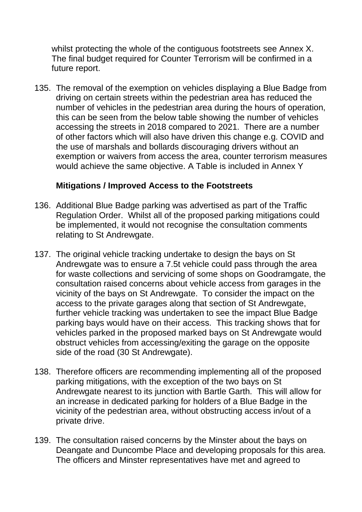whilst protecting the whole of the contiguous footstreets see Annex X. The final budget required for Counter Terrorism will be confirmed in a future report.

135. The removal of the exemption on vehicles displaying a Blue Badge from driving on certain streets within the pedestrian area has reduced the number of vehicles in the pedestrian area during the hours of operation, this can be seen from the below table showing the number of vehicles accessing the streets in 2018 compared to 2021. There are a number of other factors which will also have driven this change e.g. COVID and the use of marshals and bollards discouraging drivers without an exemption or waivers from access the area, counter terrorism measures would achieve the same objective. A Table is included in Annex Y

## **Mitigations / Improved Access to the Footstreets**

- 136. Additional Blue Badge parking was advertised as part of the Traffic Regulation Order. Whilst all of the proposed parking mitigations could be implemented, it would not recognise the consultation comments relating to St Andrewgate.
- 137. The original vehicle tracking undertake to design the bays on St Andrewgate was to ensure a 7.5t vehicle could pass through the area for waste collections and servicing of some shops on Goodramgate, the consultation raised concerns about vehicle access from garages in the vicinity of the bays on St Andrewgate. To consider the impact on the access to the private garages along that section of St Andrewgate, further vehicle tracking was undertaken to see the impact Blue Badge parking bays would have on their access. This tracking shows that for vehicles parked in the proposed marked bays on St Andrewgate would obstruct vehicles from accessing/exiting the garage on the opposite side of the road (30 St Andrewgate).
- 138. Therefore officers are recommending implementing all of the proposed parking mitigations, with the exception of the two bays on St Andrewgate nearest to its junction with Bartle Garth. This will allow for an increase in dedicated parking for holders of a Blue Badge in the vicinity of the pedestrian area, without obstructing access in/out of a private drive.
- 139. The consultation raised concerns by the Minster about the bays on Deangate and Duncombe Place and developing proposals for this area. The officers and Minster representatives have met and agreed to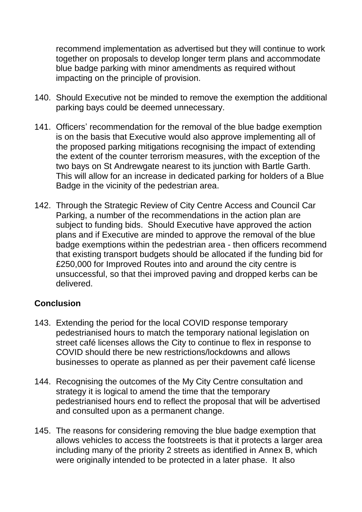recommend implementation as advertised but they will continue to work together on proposals to develop longer term plans and accommodate blue badge parking with minor amendments as required without impacting on the principle of provision.

- 140. Should Executive not be minded to remove the exemption the additional parking bays could be deemed unnecessary.
- 141. Officers' recommendation for the removal of the blue badge exemption is on the basis that Executive would also approve implementing all of the proposed parking mitigations recognising the impact of extending the extent of the counter terrorism measures, with the exception of the two bays on St Andrewgate nearest to its junction with Bartle Garth. This will allow for an increase in dedicated parking for holders of a Blue Badge in the vicinity of the pedestrian area.
- 142. Through the Strategic Review of City Centre Access and Council Car Parking, a number of the recommendations in the action plan are subject to funding bids. Should Executive have approved the action plans and if Executive are minded to approve the removal of the blue badge exemptions within the pedestrian area - then officers recommend that existing transport budgets should be allocated if the funding bid for £250,000 for Improved Routes into and around the city centre is unsuccessful, so that thei improved paving and dropped kerbs can be delivered.

# **Conclusion**

- 143. Extending the period for the local COVID response temporary pedestrianised hours to match the temporary national legislation on street café licenses allows the City to continue to flex in response to COVID should there be new restrictions/lockdowns and allows businesses to operate as planned as per their pavement café license
- 144. Recognising the outcomes of the My City Centre consultation and strategy it is logical to amend the time that the temporary pedestrianised hours end to reflect the proposal that will be advertised and consulted upon as a permanent change.
- 145. The reasons for considering removing the blue badge exemption that allows vehicles to access the footstreets is that it protects a larger area including many of the priority 2 streets as identified in Annex B, which were originally intended to be protected in a later phase. It also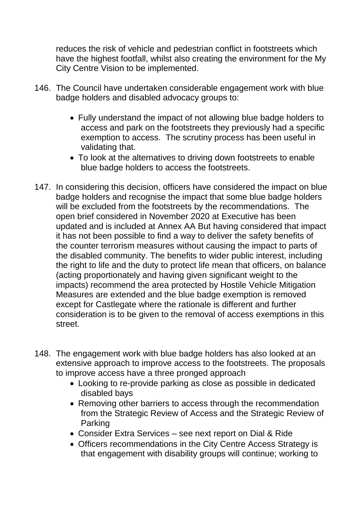reduces the risk of vehicle and pedestrian conflict in footstreets which have the highest footfall, whilst also creating the environment for the My City Centre Vision to be implemented.

- 146. The Council have undertaken considerable engagement work with blue badge holders and disabled advocacy groups to:
	- Fully understand the impact of not allowing blue badge holders to access and park on the footstreets they previously had a specific exemption to access. The scrutiny process has been useful in validating that.
	- To look at the alternatives to driving down footstreets to enable blue badge holders to access the footstreets.
- 147. In considering this decision, officers have considered the impact on blue badge holders and recognise the impact that some blue badge holders will be excluded from the footstreets by the recommendations. The open brief considered in November 2020 at Executive has been updated and is included at Annex AA But having considered that impact it has not been possible to find a way to deliver the safety benefits of the counter terrorism measures without causing the impact to parts of the disabled community. The benefits to wider public interest, including the right to life and the duty to protect life mean that officers, on balance (acting proportionately and having given significant weight to the impacts) recommend the area protected by Hostile Vehicle Mitigation Measures are extended and the blue badge exemption is removed except for Castlegate where the rationale is different and further consideration is to be given to the removal of access exemptions in this street.
- 148. The engagement work with blue badge holders has also looked at an extensive approach to improve access to the footstreets. The proposals to improve access have a three pronged approach
	- Looking to re-provide parking as close as possible in dedicated disabled bays
	- Removing other barriers to access through the recommendation from the Strategic Review of Access and the Strategic Review of Parking
	- Consider Extra Services see next report on Dial & Ride
	- Officers recommendations in the City Centre Access Strategy is that engagement with disability groups will continue; working to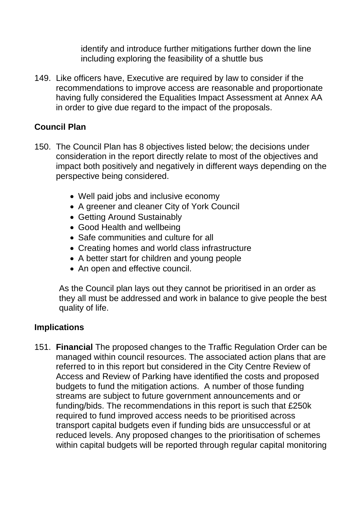identify and introduce further mitigations further down the line including exploring the feasibility of a shuttle bus

149. Like officers have, Executive are required by law to consider if the recommendations to improve access are reasonable and proportionate having fully considered the Equalities Impact Assessment at Annex AA in order to give due regard to the impact of the proposals.

## **Council Plan**

- 150. The Council Plan has 8 objectives listed below; the decisions under consideration in the report directly relate to most of the objectives and impact both positively and negatively in different ways depending on the perspective being considered.
	- Well paid jobs and inclusive economy
	- A greener and cleaner City of York Council
	- Getting Around Sustainably
	- Good Health and wellbeing
	- Safe communities and culture for all
	- Creating homes and world class infrastructure
	- A better start for children and young people
	- An open and effective council.

As the Council plan lays out they cannot be prioritised in an order as they all must be addressed and work in balance to give people the best quality of life.

# **Implications**

151. **Financial** The proposed changes to the Traffic Regulation Order can be managed within council resources. The associated action plans that are referred to in this report but considered in the City Centre Review of Access and Review of Parking have identified the costs and proposed budgets to fund the mitigation actions. A number of those funding streams are subject to future government announcements and or funding/bids. The recommendations in this report is such that £250k required to fund improved access needs to be prioritised across transport capital budgets even if funding bids are unsuccessful or at reduced levels. Any proposed changes to the prioritisation of schemes within capital budgets will be reported through regular capital monitoring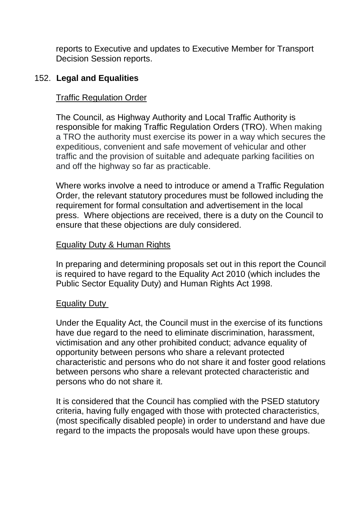reports to Executive and updates to Executive Member for Transport Decision Session reports.

#### 152. **Legal and Equalities**

#### Traffic Regulation Order

The Council, as Highway Authority and Local Traffic Authority is responsible for making Traffic Regulation Orders (TRO). When making a TRO the authority must exercise its power in a way which secures the expeditious, convenient and safe movement of vehicular and other traffic and the provision of suitable and adequate parking facilities on and off the highway so far as practicable.

Where works involve a need to introduce or amend a Traffic Regulation Order, the relevant statutory procedures must be followed including the requirement for formal consultation and advertisement in the local press. Where objections are received, there is a duty on the Council to ensure that these objections are duly considered.

#### Equality Duty & Human Rights

In preparing and determining proposals set out in this report the Council is required to have regard to the Equality Act 2010 (which includes the Public Sector Equality Duty) and Human Rights Act 1998.

#### Equality Duty

Under the Equality Act, the Council must in the exercise of its functions have due regard to the need to eliminate discrimination, harassment, victimisation and any other prohibited conduct; advance equality of opportunity between persons who share a relevant protected characteristic and persons who do not share it and foster good relations between persons who share a relevant protected characteristic and persons who do not share it.

It is considered that the Council has complied with the PSED statutory criteria, having fully engaged with those with protected characteristics, (most specifically disabled people) in order to understand and have due regard to the impacts the proposals would have upon these groups.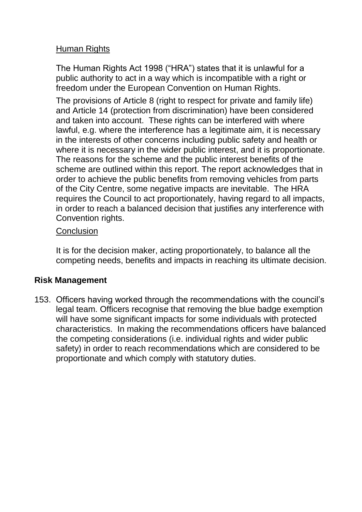## Human Rights

The Human Rights Act 1998 ("HRA") states that it is unlawful for a public authority to act in a way which is incompatible with a right or freedom under the European Convention on Human Rights.

The provisions of Article 8 (right to respect for private and family life) and Article 14 (protection from discrimination) have been considered and taken into account. These rights can be interfered with where lawful, e.g. where the interference has a legitimate aim, it is necessary in the interests of other concerns including public safety and health or where it is necessary in the wider public interest, and it is proportionate. The reasons for the scheme and the public interest benefits of the scheme are outlined within this report. The report acknowledges that in order to achieve the public benefits from removing vehicles from parts of the City Centre, some negative impacts are inevitable. The HRA requires the Council to act proportionately, having regard to all impacts, in order to reach a balanced decision that justifies any interference with Convention rights.

#### **Conclusion**

It is for the decision maker, acting proportionately, to balance all the competing needs, benefits and impacts in reaching its ultimate decision.

# **Risk Management**

153. Officers having worked through the recommendations with the council's legal team. Officers recognise that removing the blue badge exemption will have some significant impacts for some individuals with protected characteristics. In making the recommendations officers have balanced the competing considerations (i.e. individual rights and wider public safety) in order to reach recommendations which are considered to be proportionate and which comply with statutory duties.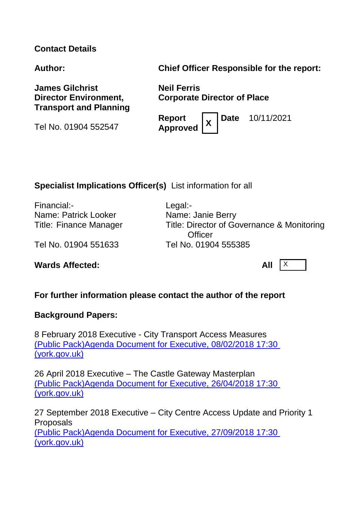#### **Contact Details**

**Author: Chief Officer Responsible for the report:**

**James Gilchrist Director Environment, Transport and Planning**

Tel No. 01904 552547

**Neil Ferris Corporate Director of Place**

**Report Approved <sup>X</sup>** **Date** 10/11/2021

## **Specialist Implications Officer(s)** List information for all

Financial:- Legal:- Name: Patrick Looker Name: Janie Berry

Title: Finance Manager Title: Director of Governance & Monitoring **Officer** 

Tel No. 01904 551633 Tel No. 01904 555385

**Wards Affected:** All X

#### **For further information please contact the author of the report**

#### **Background Papers:**

8 February 2018 Executive - City Transport Access Measures [\(Public Pack\)Agenda Document for Executive, 08/02/2018 17:30](https://democracy.york.gov.uk/documents/g10196/Public%20reports%20pack%20Thursday%2008-Feb-2018%2017.30%20Executive.pdf?T=10)  [\(york.gov.uk\)](https://democracy.york.gov.uk/documents/g10196/Public%20reports%20pack%20Thursday%2008-Feb-2018%2017.30%20Executive.pdf?T=10)

26 April 2018 Executive – The Castle Gateway Masterplan [\(Public Pack\)Agenda Document for Executive, 26/04/2018 17:30](https://democracy.york.gov.uk/documents/g10197/Public%20reports%20pack%20Thursday%2026-Apr-2018%2017.30%20Executive.pdf?T=10)  [\(york.gov.uk\)](https://democracy.york.gov.uk/documents/g10197/Public%20reports%20pack%20Thursday%2026-Apr-2018%2017.30%20Executive.pdf?T=10)

27 September 2018 Executive – City Centre Access Update and Priority 1 Proposals [\(Public Pack\)Agenda Document for Executive, 27/09/2018 17:30](https://democracy.york.gov.uk/documents/g10472/Public%20reports%20pack%20Thursday%2027-Sep-2018%2017.30%20Executive.pdf?T=10)  [\(york.gov.uk\)](https://democracy.york.gov.uk/documents/g10472/Public%20reports%20pack%20Thursday%2027-Sep-2018%2017.30%20Executive.pdf?T=10)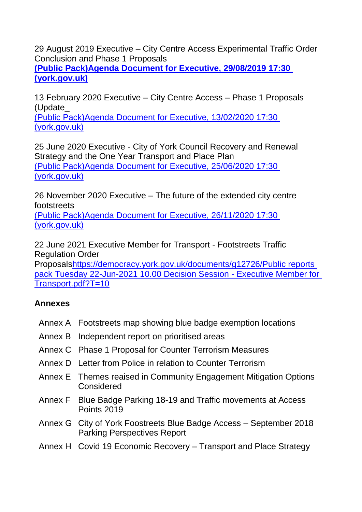29 August 2019 Executive – City Centre Access Experimental Traffic Order Conclusion and Phase 1 Proposals

**[\(Public Pack\)Agenda Document for Executive, 29/08/2019 17:30](https://democracy.york.gov.uk/documents/g11108/Public%20reports%20pack%20Thursday%2029-Aug-2019%2017.30%20Executive.pdf?T=10)  [\(york.gov.uk\)](https://democracy.york.gov.uk/documents/g11108/Public%20reports%20pack%20Thursday%2029-Aug-2019%2017.30%20Executive.pdf?T=10)**

13 February 2020 Executive – City Centre Access – Phase 1 Proposals (Update\_

(Public Pack)Agenda [Document for Executive, 13/02/2020 17:30](https://democracy.york.gov.uk/documents/g11116/Public%20reports%20pack%20Thursday%2013-Feb-2020%2017.30%20Executive.pdf?T=10)  [\(york.gov.uk\)](https://democracy.york.gov.uk/documents/g11116/Public%20reports%20pack%20Thursday%2013-Feb-2020%2017.30%20Executive.pdf?T=10)

25 June 2020 Executive - City of York Council Recovery and Renewal Strategy and the One Year Transport and Place Plan [\(Public Pack\)Agenda Document for Executive, 25/06/2020 17:30](https://democracy.york.gov.uk/documents/g12293/Public%20reports%20pack%20Thursday%2025-Jun-2020%2017.30%20Executive.pdf?T=10)  [\(york.gov.uk\)](https://democracy.york.gov.uk/documents/g12293/Public%20reports%20pack%20Thursday%2025-Jun-2020%2017.30%20Executive.pdf?T=10)

26 November 2020 Executive – The future of the extended city centre footstreets

[\(Public Pack\)Agenda Document for Executive, 26/11/2020 17:30](https://democracy.york.gov.uk/documents/g12407/Public%20reports%20pack%20Thursday%2026-Nov-2020%2017.30%20Executive.pdf?T=10)  [\(york.gov.uk\)](https://democracy.york.gov.uk/documents/g12407/Public%20reports%20pack%20Thursday%2026-Nov-2020%2017.30%20Executive.pdf?T=10)

22 June 2021 Executive Member for Transport - Footstreets Traffic Regulation Order

Proposal[shttps://democracy.york.gov.uk/documents/g12726/Public reports](https://democracy.york.gov.uk/documents/g12726/Public%20reports%20pack%20Tuesday%2022-Jun-2021%2010.00%20Decision%20Session%20-%20Executive%20Member%20for%20Transport.pdf?T=10)  [pack Tuesday 22-Jun-2021 10.00 Decision Session -](https://democracy.york.gov.uk/documents/g12726/Public%20reports%20pack%20Tuesday%2022-Jun-2021%2010.00%20Decision%20Session%20-%20Executive%20Member%20for%20Transport.pdf?T=10) Executive Member for [Transport.pdf?T=10](https://democracy.york.gov.uk/documents/g12726/Public%20reports%20pack%20Tuesday%2022-Jun-2021%2010.00%20Decision%20Session%20-%20Executive%20Member%20for%20Transport.pdf?T=10)

# **Annexes**

- Annex A Footstreets map showing blue badge exemption locations
- Annex B Independent report on prioritised areas
- Annex C Phase 1 Proposal for Counter Terrorism Measures
- Annex D Letter from Police in relation to Counter Terrorism
- Annex E Themes reaised in Community Engagement Mitigation Options Considered
- Annex F Blue Badge Parking 18-19 and Traffic movements at Access Points 2019
- Annex G City of York Foostreets Blue Badge Access September 2018 Parking Perspectives Report
- Annex H Covid 19 Economic Recovery Transport and Place Strategy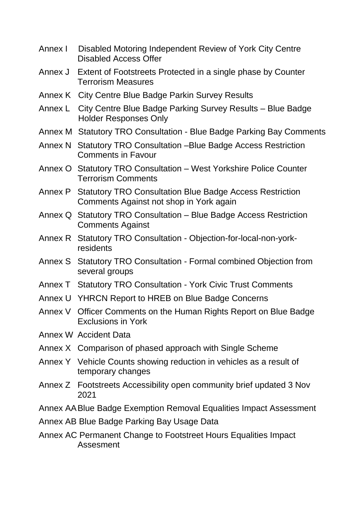- Annex I Disabled Motoring Independent Review of York City Centre Disabled Access Offer
- Annex J Extent of Footstreets Protected in a single phase by Counter Terrorism Measures
- Annex K City Centre Blue Badge Parkin Survey Results
- Annex L City Centre Blue Badge Parking Survey Results Blue Badge Holder Responses Only
- Annex M Statutory TRO Consultation Blue Badge Parking Bay Comments
- Annex N Statutory TRO Consultation –Blue Badge Access Restriction Comments in Favour
- Annex O Statutory TRO Consultation West Yorkshire Police Counter Terrorism Comments
- Annex P Statutory TRO Consultation Blue Badge Access Restriction Comments Against not shop in York again
- Annex Q Statutory TRO Consultation Blue Badge Access Restriction Comments Against
- Annex R Statutory TRO Consultation Objection-for-local-non-yorkresidents
- Annex S Statutory TRO Consultation Formal combined Objection from several groups
- Annex T Statutory TRO Consultation York Civic Trust Comments
- Annex U YHRCN Report to HREB on Blue Badge Concerns
- Annex V Officer Comments on the Human Rights Report on Blue Badge Exclusions in York
- Annex W Accident Data
- Annex X Comparison of phased approach with Single Scheme
- Annex Y Vehicle Counts showing reduction in vehicles as a result of temporary changes
- Annex Z Footstreets Accessibility open community brief updated 3 Nov 2021
- Annex AABlue Badge Exemption Removal Equalities Impact Assessment
- Annex AB Blue Badge Parking Bay Usage Data
- Annex AC Permanent Change to Footstreet Hours Equalities Impact Assesment